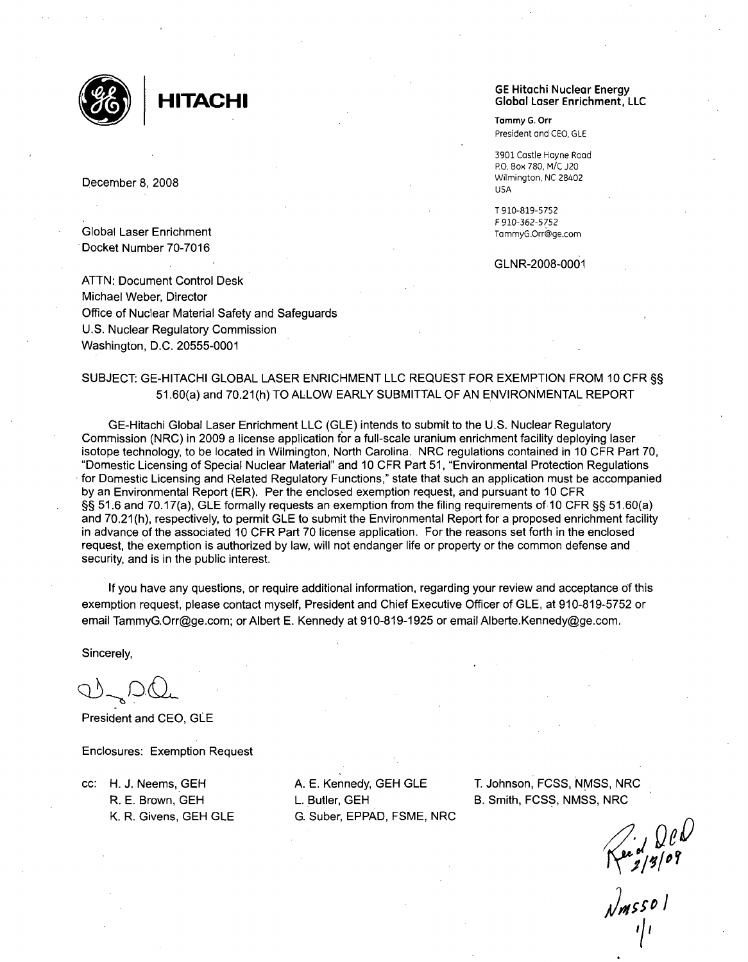

Global Laser Enrichment Docket Number 70-7016

ATTN: Document Control Desk Michael Weber, Director Office of Nuclear Material Safety and Safeguards U.S. Nuclear Regulatory Commission Washington, D.C. 20555-0001

#### GE Hitachi Nuclear Energy **HITACHI** Global Laser Enrichment, LLC

**Tammy G.** Orr President and **CEO, GLE**

3901 Castle Hayne Road RO. Box 780, M/C J20 December 8, 2008 Wilmington, NC 28402 USA

> T 910-819-5752 F 910-362-5752

#### GLNR-2008-0001

## SUBJECT: GE-HITACHI GLOBAL LASER ENRICHMENT LLC REQUEST FOR EXEMPTION FROM 10 CFR §§ 51.60(a) and 70.21(h) TO ALLOW EARLY SUBMITTAL OF AN ENVIRONMENTAL REPORT

GE-Hitachi Global Laser Enrichment LLC (GLE) intends to submit to the U.S. Nuclear Regulatory Commission (NRC) in 2009 a license application for a full-scale uranium enrichment facility deploying laser isotope technology, to be located in Wilmington, North Carolina. NRC regulations contained in 10 CFR Part 70, "Domestic Licensing of Special Nuclear Material" and 10 CFR Part 51, "Environmental Protection Regulations for Domestic Licensing and Related Regulatory Functions," state that such an application must be accompanied by an Environmental Report (ER). Per the enclosed exemption request, and pursuant to 10 CFR §§ 51.6 and 70.17(a), GLE formally requests an exemption from the filing requirements of 10 CFR §§ 51.60(a) and 70.21(h), respectively, to permit GLE to submit the Environmental Report for a proposed enrichment facility in advance of the associated 10 CFR Part 70 license application. For the reasons set forth in the enclosed request, the exemption is authorized by law, will not endanger life or property or the common defense and security, and is in the public interest.

If you have any questions, or require additional information, regarding your review and acceptance of this exemption request, please contact myself, President and Chief Executive Officer of GLE, at 910-819-5752 or email TammyG.Orr@ge.com; or Albert E. Kennedy at 910-819-1925 or email Alberte.Kennedy@ge.com.

Sincerely,

President and CEO, **GLE**

Enclosures: Exemption Request

R. E. Brown, GEH L. Butler, GEH B. Smith, FCSS, NMSS, NRC K. R. Givens, GEH GLE G. Suber, EPPAD, FSME, NRC

cc: H. J. Neems, GEH A. E. Kennedy, GEH **GLE** T. Johnson, FCSS, NMSS, NRC

I  $\prod$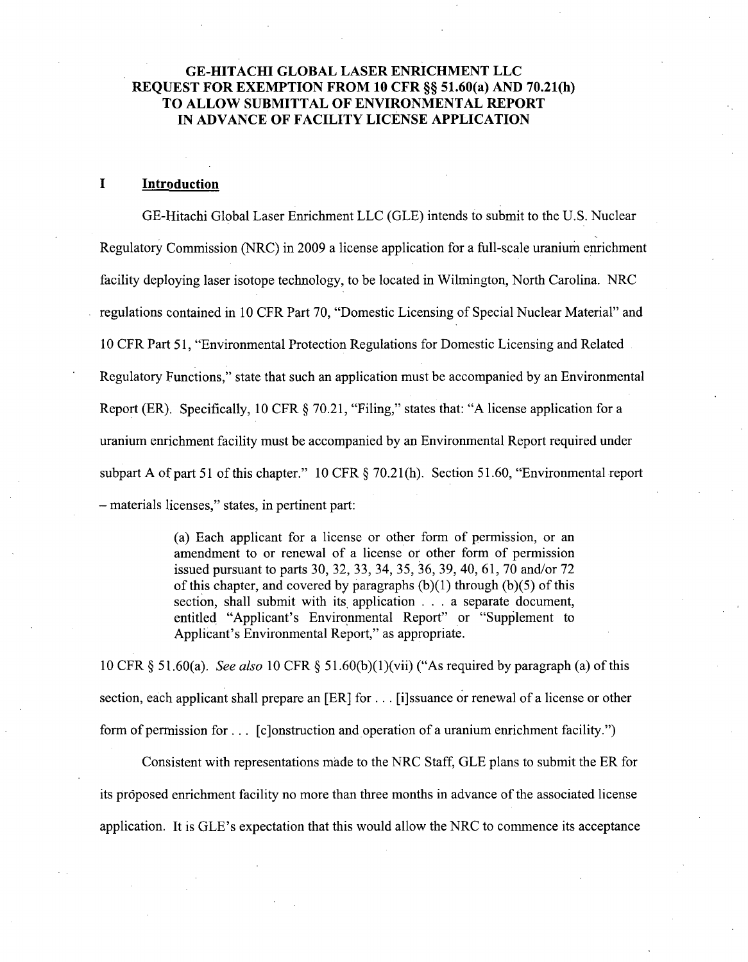## **GE-HITACHI** GLOBAL LASER **ENRICHMENT LLC REQUEST** FOR **EXEMPTION** FROM **10** CFR §§ 51.60(a) **AND 70.21(h)** TO ALLOW **SUBMITTAL** OF **ENVIRONMENTAL** REPORT **IN ADVANCE** OF FACILITY **LICENSE APPLICATION**

#### **I** Introduction

GE-Hitachi Global Laser Enrichment LLC (GLE) intends to submit to the U.S. Nuclear Regulatory Commission (NRC) in 2009 a license application for a full-scale uranium enrichment facility deploying laser isotope technology, to be located in Wilmington, North Carolina. NRC regulations contained in 10 CFR Part 70, "Domestic Licensing of Special Nuclear Material" and 10 CFR Part 51, "Environmental Protection Regulations for Domestic Licensing and Related Regulatory Functions," state that such an application must be accompanied by an Environmental Report (ER). Specifically, 10 CFR § 70.21, "Filing," states that: "A license application for a uranium enrichment facility must be accompanied by an Environmental Report required under subpart A of part 51 of this chapter." 10 CFR  $\S$  70.21(h). Section 51.60, "Environmental report - materials licenses," states, in pertinent part:

> (a) Each applicant for a license or other form of permission, or an amendment to or renewal of a license or other form of permission issued pursuant to parts 30, 32, 33, 34, 35, 36, 39, 40, 61, 70 and/or 72 of this chapter, and covered by paragraphs  $(b)(1)$  through  $(b)(5)$  of this section, shall submit with its application . . . a separate document, entitled "Applicant's Environmental Report" or "Supplement to Applicant's Environmental Report," as appropriate.

10 CFR § 51.60(a). *See also* 10 CFR § 51.60(b)(1)(vii) ("As required by paragraph (a) of this section, each applicant shall prepare an [ER] for **...** [i]ssuance or renewal of a license or other form of permission for **...** [c]onstruction and operation of a uranium enrichment facility.")

Consistent with representations made to the NRC Staff, GLE plans to submit the ER for its proposed enrichment facility no more than three months in advance of the associated license application. It is GLE's expectation that this would allow the NRC to commence its acceptance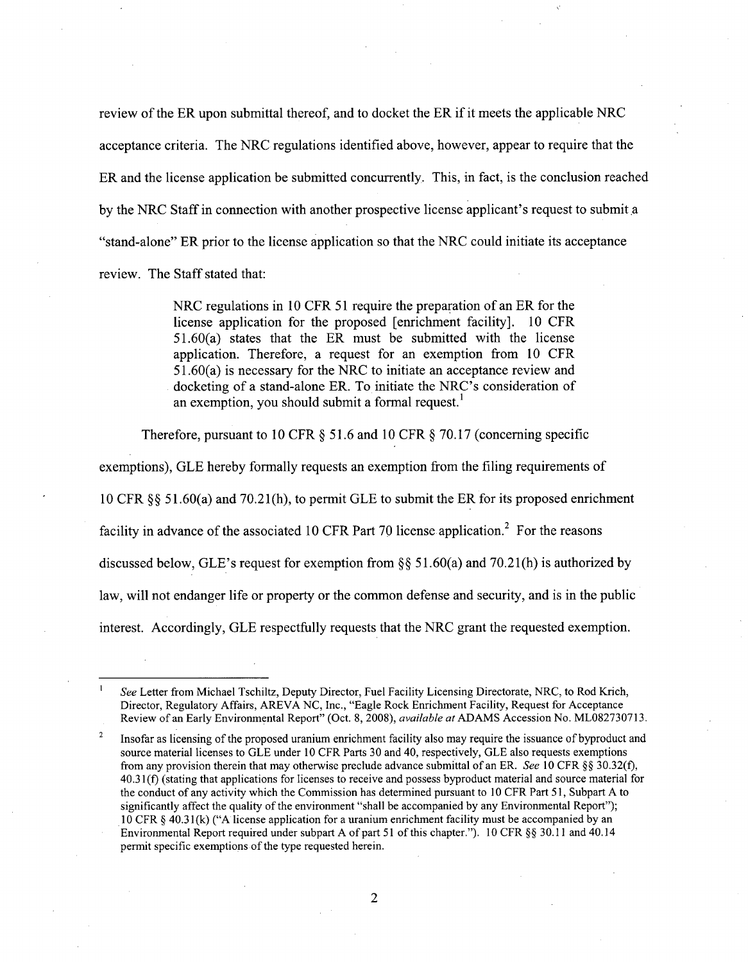review of the ER upon submittal thereof, and to docket the ER if it meets the applicable NRC acceptance criteria. The NRC regulations identified above, however, appear to require that the ER and the license application be submitted concurrently. This, in fact, is the conclusion reached by the NRC Staff in connection with another prospective license applicant's request to submit a "stand-alone" ER prior to the license application so that the NRC could initiate its acceptance review. The Staff stated that:

> NRC regulations in 10 CFR 51 require the preparation of an ER for the license application for the proposed [enrichment facility]. 10 CFR 51.60(a) states that the ER must be submitted with the license application. Therefore, a request for an exemption from 10 CFR 51.60(a) is necessary for the NRC to initiate an acceptance review and docketing of a stand-alone ER. To initiate the NRC's consideration of an exemption, you should submit a formal request.<sup>1</sup>

Therefore, pursuant to 10 CFR  $\S$  51.6 and 10 CFR  $\S$  70.17 (concerning specific

exemptions), GLE hereby formally requests an exemption from the filing requirements of

10 CFR § § 51.60(a) and 70.21 (h), to permit GLE to submit the ER for its proposed enrichment

facility in advance of the associated 10 CFR Part 70 license application.<sup>2</sup> For the reasons

discussed below, GLE's request for exemption from  $\S$ § 51.60(a) and 70.21(h) is authorized by

law, will not endanger life or property or the common defense and security, and is in the public

interest. Accordingly, GLE respectfully requests that the NRC grant the requested exemption.

*See* Letter from Michael Tschiltz, Deputy Director, Fuel Facility Licensing Directorate, NRC, to Rod Krich, Director, Regulatory Affairs, AREVA NC, Inc., "Eagle Rock Enrichment Facility, Request for Acceptance Review of an Early Environmental Report" (Oct. 8, 2008), *available* at ADAMS Accession No. ML082730713.

<sup>2</sup>Insofar as licensing of the proposed uranium enrichment facility also may require the issuance of byproduct and source material licenses to GLE under 10 CFR Parts 30 and 40, respectively, GLE also requests exemptions from any provision therein that may otherwise preclude advance submittal of an ER. *See* 10 CFR §§ 30.32(f), 40.31 **(f)** (stating that applications for licenses to receive and possess byproduct material and source material for the conduct of any activity which the Commission has determined pursuant to 10 CFR Part 51, Subpart A to significantly affect the quality of the environment "shall be accompanied by any Environmental Report"); 10 CFR § 40.31 (k) ("A license application for a uranium enrichment facility must be accompanied by an Environmental Report required under subpart A of part 51 of this chapter."). 10 CFR §§ 30.11 and 40.14 permit specific exemptions of the type requested herein.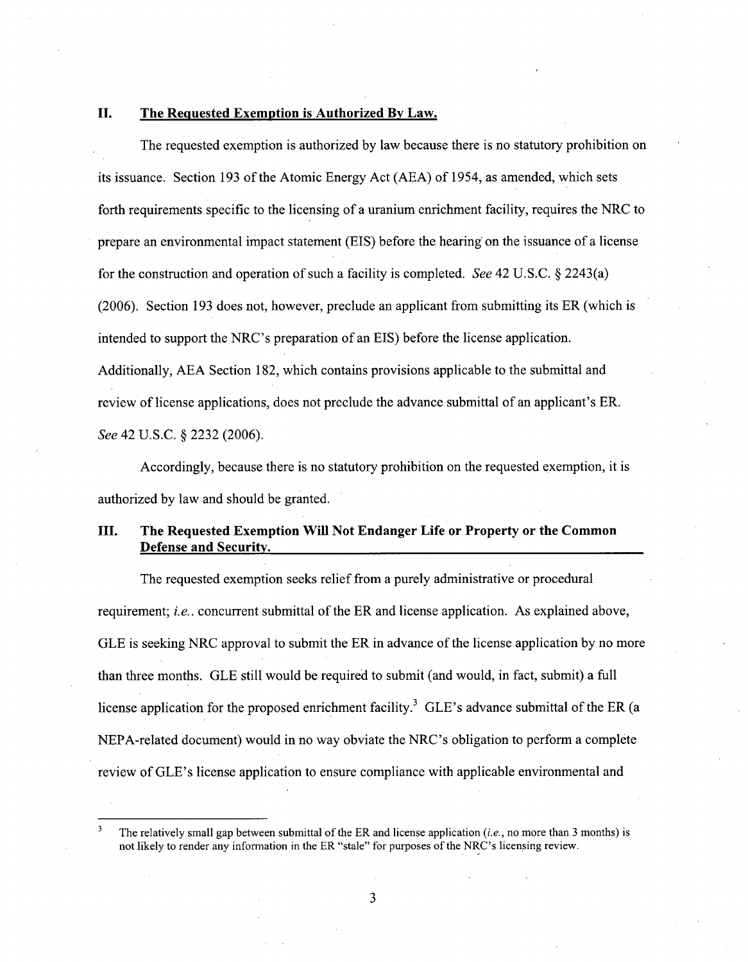## **II.** The Requested Exemption is Authorized **By** Law.

The requested exemption is authorized by law because there is no statutory prohibition on its issuance. Section 193 of the Atomic Energy Act (AEA) of 1954, as amended, which sets forth requirements specific to the licensing of a uranium enrichment facility, requires the NRC to prepare an environmental impact statement (EIS) before the hearing on the issuance of a license for the construction and operation of such a facility is completed. *See* 42 U.S.C. § 2243(a) (2006). Section 193 does not, however, preclude an applicant from submitting its ER (which is intended to support the NRC's preparation of an EIS) before the license application. Additionally, **AEA** Section 182, which contains provisions applicable to the submittal and review of license applications, does not preclude the advance submittal of an applicant's ER. *See* 42 U.S.C. § 2232 (2006).

Accordingly, because there is no statutory prohibition on the requested exemption, it is authorized by law and should be granted.

# III. The Requested Exemption Will Not Endanger Life or Property or the Common Defense and Security.

The requested exemption seeks relief from a purely administrative or procedural requirement; *i.e.*. concurrent submittal of the ER and license application. As explained above, GLE is seeking NRC approval to submit the ER in advance of the license application by no more than three months. GLE still would be required to submit (and would, in fact, submit) a full license application for the proposed enrichment facility.<sup>3</sup> GLE's advance submittal of the ER (a NEPA-related document) would in no way obviate the NRC's obligation to perform a complete review of GLE's license application to ensure compliance with applicable environmental and

**<sup>3</sup>** The relatively small gap between submittal of the ER and license application (i.e., no more than 3 months) is not likely to render any information in the ER "stale" for purposes of the NRC's licensing review.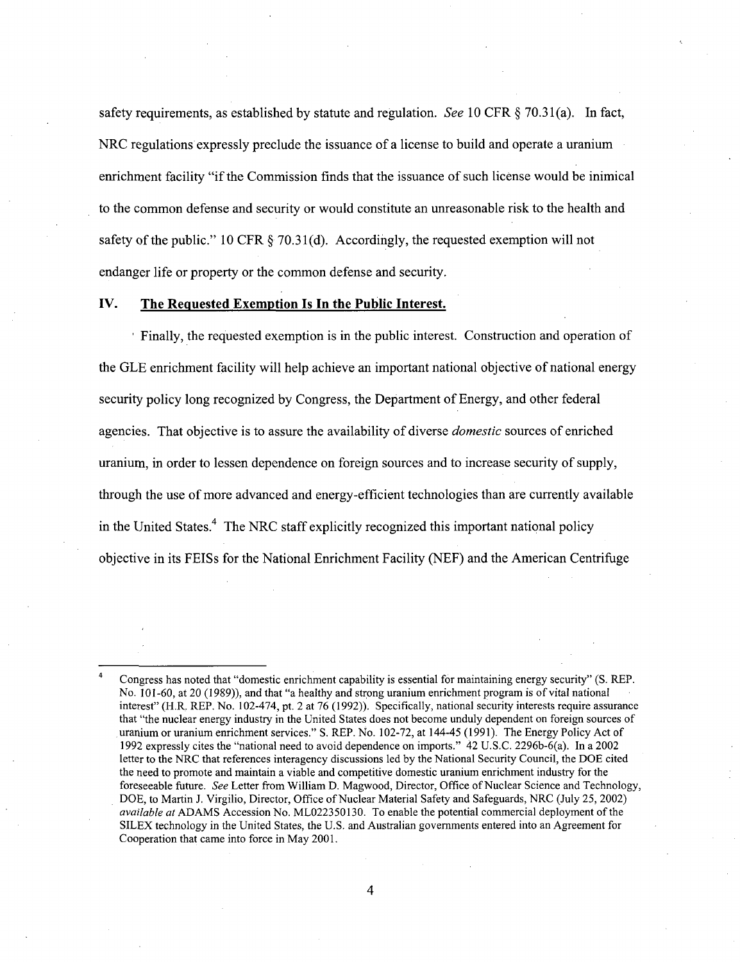safety requirements, as established by statute and regulation. See 10 CFR  $\S$  70.31(a). In fact, NRC regulations expressly preclude the issuance of a license to build and operate a uranium enrichment facility "if the Commission finds that the issuance of such license would be inimical to the common defense and security or would constitute an unreasonable risk to the health and safety of the public." 10 CFR  $\S$  70.31(d). Accordingly, the requested exemption will not endanger life or property or the common defense and security.

### IV. The Requested Exemption Is In the Public Interest.

Finally, the requested exemption is in the public interest. Construction and operation of the GLE enrichment facility will help achieve an important national objective of national energy security policy long recognized by Congress, the Department of Energy, and other federal agencies. That objective is to assure the availability of diverse *domestic* sources of enriched uranium, in order to lessen dependence on foreign sources and to increase security of supply, through the use of more advanced and energy-efficient technologies than are currently available in the United States.<sup>4</sup> The NRC staff explicitly recognized this important national policy objective in its FEISs for the National Enrichment Facility (NEF) and the American Centrifuge

Congress has noted that "domestic enrichment capability is essential for maintaining energy security" (S. REP. No. 101-60, at 20 (1989)), and that "a healthy and strong uranium enrichment program is of vital national interest" (H.R. REP. No. 102-474, pt. 2 at 76 (1992)). Specifically, national security interests require assurance that "the nuclear energy industry in the United States does not become unduly dependent on foreign sources of uranium or uranium enrichment services." S. REP. No. 102-72, at 144-45 (1991). The Energy Policy Act of 1992 expressly cites the "national need to avoid dependence on imports." 42 U.S.C. 2296b-6(a). In a 2002 letter to the NRC that references interagency discussions led by the National Security Council, the DOE cited the need to promote and maintain a viable and competitive domestic uranium enrichment industry for the foreseeable future. *See* Letter from William D. Magwood, Director, Office of Nuclear Science and Technology, DOE, to Martin J. Virgilio, Director, Office of Nuclear Material Safety and Safeguards, NRC (July 25, 2002) *available* at ADAMS Accession No. ML022350130. To enable the potential commercial deployment of the SILEX technology in the United States, the U.S. and Australian governments entered into an Agreement for Cooperation that came into force in May 2001.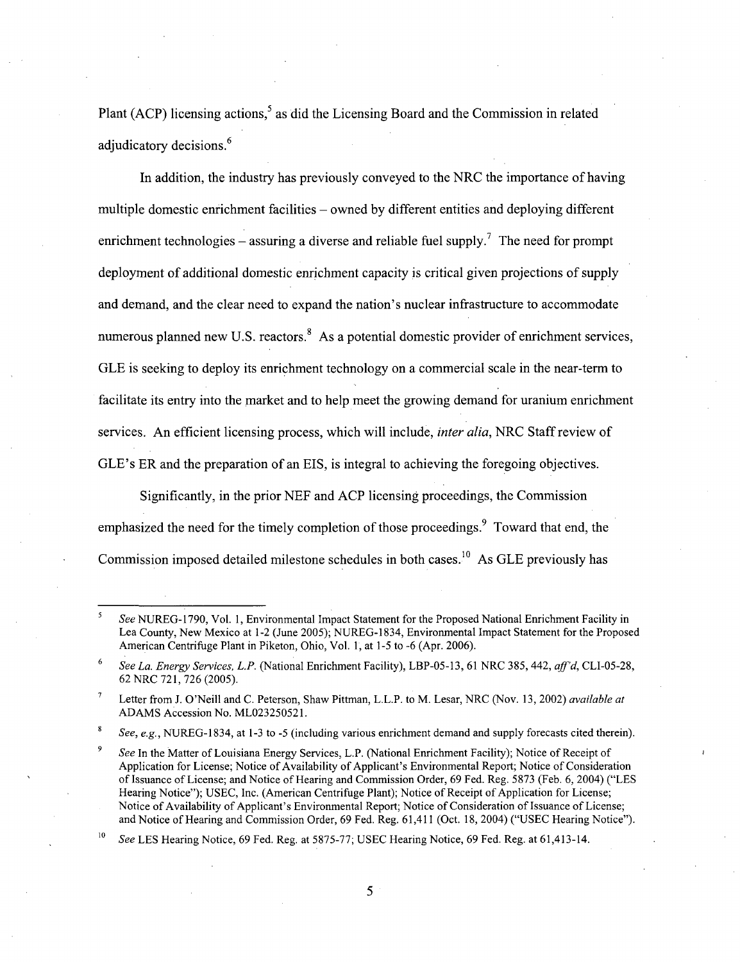Plant (ACP) licensing actions, $5$  as did the Licensing Board and the Commission in related adjudicatory decisions.<sup>6</sup>

In addition, the industry has previously conveyed to the NRC the importance of having multiple domestic enrichment facilities - owned by different entities and deploying different enrichment technologies – assuring a diverse and reliable fuel supply.<sup>7</sup> The need for prompt deployment of additional domestic enrichment capacity is critical given projections of supply and demand, and the clear need to expand the nation's nuclear infrastructure to accommodate numerous planned new U.S. reactors. $8\text{ As a potential domestic provider of enrichment services,}$ GLE is seeking to deploy its enrichment technology on a commercial scale in the near-term to facilitate its entry into the market and to help meet the growing demand for uranium enrichment services. An efficient licensing process, which will include, *inter alia,* NRC Staff review of GLE's ER and the preparation of an EIS, is integral to achieving the foregoing objectives.

Significantly, in the prior NEF and ACP licensing proceedings, the Commission emphasized the need for the timely completion of those proceedings. <sup>9</sup> Toward that end, the Commission imposed detailed milestone schedules in both cases.<sup>10</sup> As GLE previously has

**8** *See, e.g.,* NUREG-1834, at 1-3 to -5 (including various enrichment demand and supply forecasts cited therein).

**<sup>10</sup>***See* LES Hearing Notice, 69 Fed. Reg. at 5875-77; USEC Hearing Notice, 69 Fed. Reg. at 61,413-14.

*See* NUREG- 1790, Vol. 1, Environmental Impact Statement for the Proposed National Enrichment Facility in Lea County, New Mexico at 1-2 (June 2005); NUREG-1834, Environmental Impact Statement for the Proposed American Centrifuge Plant in Piketon, Ohio, Vol. 1, at 1-5 to -6 (Apr. 2006).

**<sup>6</sup>***See La. Energy Services, L.P.* (National Enrichment Facility), LBP-05-13, 61 NRC 385, 442, *aff'd,* CLI-05-28, 62 NRC 721, 726 (2005).

**<sup>7</sup>** Letter from J. O'Neill and C. Peterson, Shaw Pittman, L.L.P. to M. Lesar, NRC (Nov. 13, 2002) *available at* ADAMS Accession No. ML023250521.

**<sup>9</sup>** *See* In the Matter of Louisiana Energy Services, L.P. (National Enrichment Facility); Notice of Receipt of Application for License; Notice of Availability of Applicant's Environmental Report; Notice of Consideration of Issuance of License; and Notice of Hearing and Commission Order, 69 Fed. Reg. 5873 (Feb. 6, 2004) ("LES Hearing Notice"); USEC, Inc. (American Centrifuge Plant); Notice of Receipt of Application for License; Notice of Availability of Applicant's Environmental Report; Notice of Consideration of Issuance of License; and Notice of Hearing and Commission Order, 69 Fed. Reg. 61,411 (Oct. 18, 2004) ("USEC Hearing Notice").